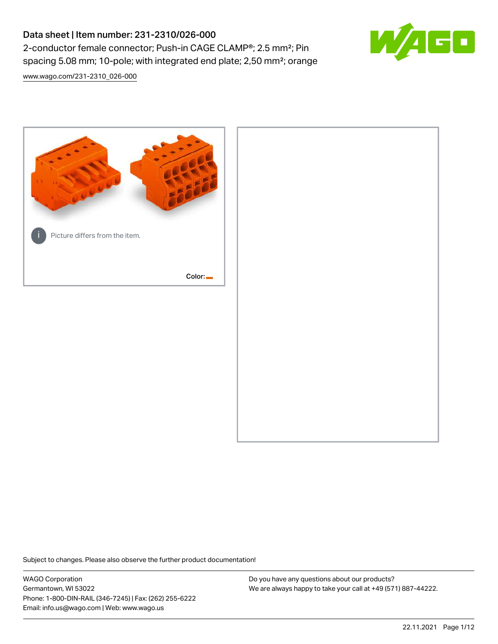# Data sheet | Item number: 231-2310/026-000 2-conductor female connector; Push-in CAGE CLAMP®; 2.5 mm²; Pin spacing 5.08 mm; 10-pole; with integrated end plate; 2,50 mm²; orange

[www.wago.com/231-2310\\_026-000](http://www.wago.com/231-2310_026-000)



Subject to changes. Please also observe the further product documentation!

WAGO Corporation Germantown, WI 53022 Phone: 1-800-DIN-RAIL (346-7245) | Fax: (262) 255-6222 Email: info.us@wago.com | Web: www.wago.us

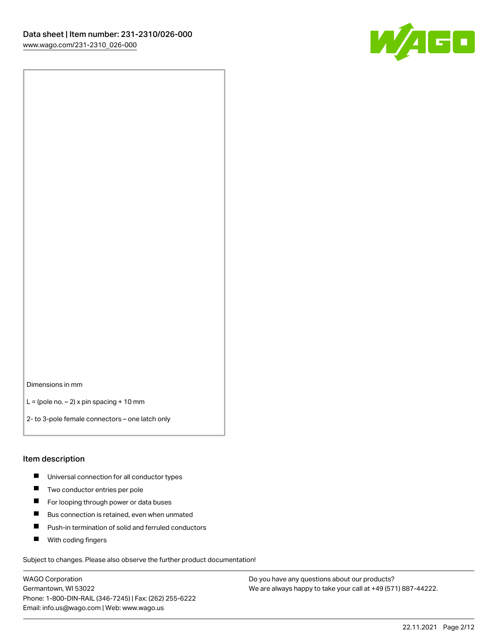

Dimensions in mm

 $L =$  (pole no.  $-2$ ) x pin spacing + 10 mm

2- to 3-pole female connectors – one latch only

#### Item description

- **Universal connection for all conductor types**
- **Two conductor entries per pole**
- $\blacksquare$ For looping through power or data buses
- $\blacksquare$ Bus connection is retained, even when unmated
- $\blacksquare$ Push-in termination of solid and ferruled conductors
- $\blacksquare$ With coding fingers

Subject to changes. Please also observe the further product documentation!

WAGO Corporation Germantown, WI 53022 Phone: 1-800-DIN-RAIL (346-7245) | Fax: (262) 255-6222 Email: info.us@wago.com | Web: www.wago.us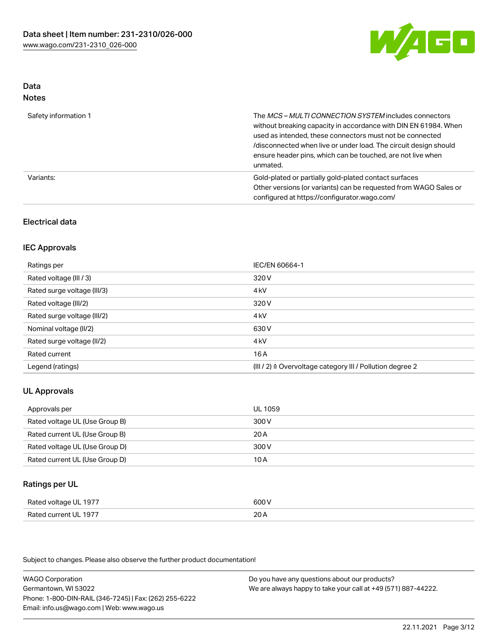

#### Data Notes

| .                    |                                                                                                                                                                                                                                                                                                                                   |
|----------------------|-----------------------------------------------------------------------------------------------------------------------------------------------------------------------------------------------------------------------------------------------------------------------------------------------------------------------------------|
| Safety information 1 | The MCS-MULTI CONNECTION SYSTEM includes connectors<br>without breaking capacity in accordance with DIN EN 61984. When<br>used as intended, these connectors must not be connected<br>/disconnected when live or under load. The circuit design should<br>ensure header pins, which can be touched, are not live when<br>unmated. |
| Variants:            | Gold-plated or partially gold-plated contact surfaces<br>Other versions (or variants) can be requested from WAGO Sales or<br>configured at https://configurator.wago.com/                                                                                                                                                         |

### Electrical data

### IEC Approvals

| Ratings per                 | IEC/EN 60664-1                                                        |
|-----------------------------|-----------------------------------------------------------------------|
| Rated voltage (III / 3)     | 320 V                                                                 |
| Rated surge voltage (III/3) | 4 <sub>k</sub> V                                                      |
| Rated voltage (III/2)       | 320 V                                                                 |
| Rated surge voltage (III/2) | 4 <sub>k</sub> V                                                      |
| Nominal voltage (II/2)      | 630 V                                                                 |
| Rated surge voltage (II/2)  | 4 <sub>k</sub> V                                                      |
| Rated current               | 16A                                                                   |
| Legend (ratings)            | $(III / 2)$ $\triangle$ Overvoltage category III / Pollution degree 2 |

### UL Approvals

| Approvals per                  | UL 1059 |
|--------------------------------|---------|
| Rated voltage UL (Use Group B) | 300 V   |
| Rated current UL (Use Group B) | 20 A    |
| Rated voltage UL (Use Group D) | 300 V   |
| Rated current UL (Use Group D) | 10 A    |

#### Ratings per UL

| Rated voltage UL 1977 | 600 V |
|-----------------------|-------|
| Rated current UL 1977 | 20A   |

Subject to changes. Please also observe the further product documentation!

WAGO Corporation Germantown, WI 53022 Phone: 1-800-DIN-RAIL (346-7245) | Fax: (262) 255-6222 Email: info.us@wago.com | Web: www.wago.us Do you have any questions about our products? We are always happy to take your call at +49 (571) 887-44222.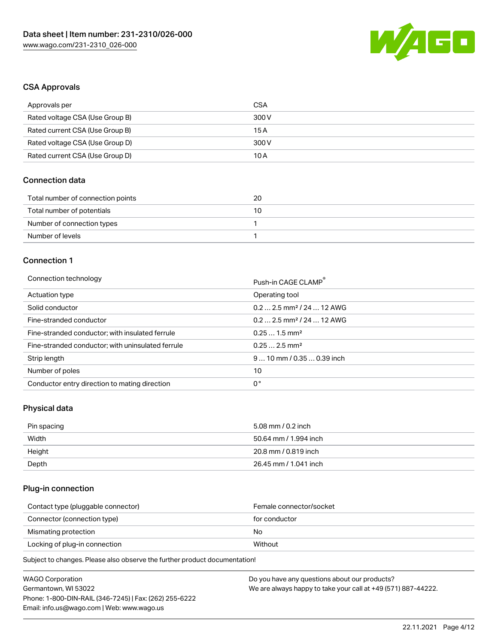

### CSA Approvals

| Approvals per                   | CSA   |
|---------------------------------|-------|
| Rated voltage CSA (Use Group B) | 300 V |
| Rated current CSA (Use Group B) | 15 A  |
| Rated voltage CSA (Use Group D) | 300 V |
| Rated current CSA (Use Group D) | 10 A  |

### Connection data

| Total number of connection points | 20 |
|-----------------------------------|----|
| Total number of potentials        | 10 |
| Number of connection types        |    |
| Number of levels                  |    |

### Connection 1

#### Connection technology **Push-in CAGE CLAMP<sup>®</sup>**

| ັ                                                 | Push-in CAGE CLAMP                     |
|---------------------------------------------------|----------------------------------------|
| Actuation type                                    | Operating tool                         |
| Solid conductor                                   | $0.22.5$ mm <sup>2</sup> / 24  12 AWG  |
| Fine-stranded conductor                           | $0.2$ 2.5 mm <sup>2</sup> / 24  12 AWG |
| Fine-stranded conductor; with insulated ferrule   | $0.251.5$ mm <sup>2</sup>              |
| Fine-stranded conductor; with uninsulated ferrule | $0.252.5$ mm <sup>2</sup>              |
| Strip length                                      | $910$ mm / 0.35  0.39 inch             |
| Number of poles                                   | 10                                     |
| Conductor entry direction to mating direction     | 0°                                     |

## Physical data

| Pin spacing | 5.08 mm / 0.2 inch    |
|-------------|-----------------------|
| Width       | 50.64 mm / 1.994 inch |
| Height      | 20.8 mm / 0.819 inch  |
| Depth       | 26.45 mm / 1.041 inch |

### Plug-in connection

| Female connector/socket |
|-------------------------|
| for conductor           |
| No                      |
| Without                 |
|                         |

Subject to changes. Please also observe the further product documentation!

| WAGO Corporation                                       | Do you have any questions about our products?                 |
|--------------------------------------------------------|---------------------------------------------------------------|
| Germantown, WI 53022                                   | We are always happy to take your call at +49 (571) 887-44222. |
| Phone: 1-800-DIN-RAIL (346-7245)   Fax: (262) 255-6222 |                                                               |
| Email: info.us@wago.com   Web: www.wago.us             |                                                               |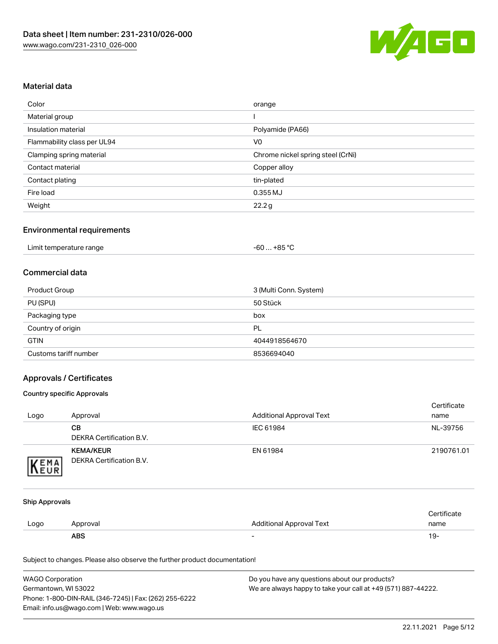

### Material data

| Color                       | orange                            |
|-----------------------------|-----------------------------------|
| Material group              |                                   |
| Insulation material         | Polyamide (PA66)                  |
| Flammability class per UL94 | V <sub>0</sub>                    |
| Clamping spring material    | Chrome nickel spring steel (CrNi) |
| Contact material            | Copper alloy                      |
| Contact plating             | tin-plated                        |
| Fire load                   | 0.355 MJ                          |
| Weight                      | 22.2g                             |

#### Environmental requirements

| Limit temperature range<br>+85 °C<br>-60 |  |
|------------------------------------------|--|
|------------------------------------------|--|

### Commercial data

| Product Group         | 3 (Multi Conn. System) |
|-----------------------|------------------------|
| PU (SPU)              | 50 Stück               |
| Packaging type        | box                    |
| Country of origin     | PL                     |
| <b>GTIN</b>           | 4044918564670          |
| Customs tariff number | 8536694040             |

### Approvals / Certificates

#### Country specific Approvals

| Logo               | Approval                                     | <b>Additional Approval Text</b> | Certificate<br>name |
|--------------------|----------------------------------------------|---------------------------------|---------------------|
|                    | CВ<br>DEKRA Certification B.V.               | IEC 61984                       | NL-39756            |
| EMA<br><b>NEUR</b> | <b>KEMA/KEUR</b><br>DEKRA Certification B.V. | EN 61984                        | 2190761.01          |

#### Ship Approvals

|      | <b>ABS</b> | -                               | 19-          |
|------|------------|---------------------------------|--------------|
| Logo | Approval   | <b>Additional Approval Text</b> | name         |
|      |            |                                 | Certificate? |

Subject to changes. Please also observe the further product documentation!

| <b>WAGO Corporation</b>                                | Do you have any questions about our products?                 |
|--------------------------------------------------------|---------------------------------------------------------------|
| Germantown, WI 53022                                   | We are always happy to take your call at +49 (571) 887-44222. |
| Phone: 1-800-DIN-RAIL (346-7245)   Fax: (262) 255-6222 |                                                               |
| Email: info.us@wago.com   Web: www.wago.us             |                                                               |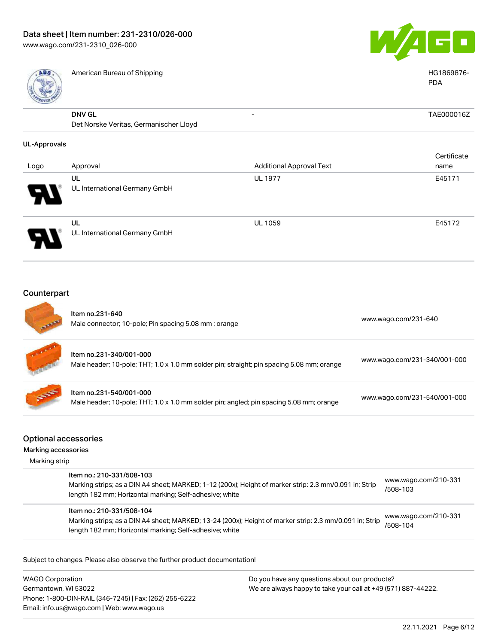

|                     | American Bureau of Shipping                                                                                          |                                 | HG1869876-<br><b>PDA</b>     |
|---------------------|----------------------------------------------------------------------------------------------------------------------|---------------------------------|------------------------------|
|                     | <b>DNV GL</b><br>Det Norske Veritas, Germanischer Lloyd                                                              |                                 | TAE000016Z                   |
| <b>UL-Approvals</b> |                                                                                                                      |                                 |                              |
| Logo                | Approval                                                                                                             | <b>Additional Approval Text</b> | Certificate<br>name          |
|                     | UL<br>UL International Germany GmbH                                                                                  | <b>UL 1977</b>                  | E45171                       |
|                     | UL<br>UL International Germany GmbH                                                                                  | UL 1059                         | E45172                       |
|                     |                                                                                                                      |                                 |                              |
|                     |                                                                                                                      |                                 |                              |
| Counterpart         | Item no.231-640<br>Male connector; 10-pole; Pin spacing 5.08 mm; orange                                              |                                 | www.wago.com/231-640         |
|                     | Item no.231-340/001-000<br>Male header; 10-pole; THT; 1.0 x 1.0 mm solder pin; straight; pin spacing 5.08 mm; orange |                                 | www.wago.com/231-340/001-000 |

Optional accessories

Marking accessories Marking strip

| Item no.: 210-331/508-103<br>Marking strips; as a DIN A4 sheet; MARKED; 1-12 (200x); Height of marker strip: 2.3 mm/0.091 in; Strip<br>length 182 mm; Horizontal marking; Self-adhesive; white  | www.wago.com/210-331<br>/508-103 |
|-------------------------------------------------------------------------------------------------------------------------------------------------------------------------------------------------|----------------------------------|
| Item no.: 210-331/508-104<br>Marking strips; as a DIN A4 sheet; MARKED; 13-24 (200x); Height of marker strip: 2.3 mm/0.091 in; Strip<br>length 182 mm; Horizontal marking; Self-adhesive; white | www.wago.com/210-331<br>/508-104 |

Subject to changes. Please also observe the further product documentation!

WAGO Corporation Germantown, WI 53022 Phone: 1-800-DIN-RAIL (346-7245) | Fax: (262) 255-6222 Email: info.us@wago.com | Web: www.wago.us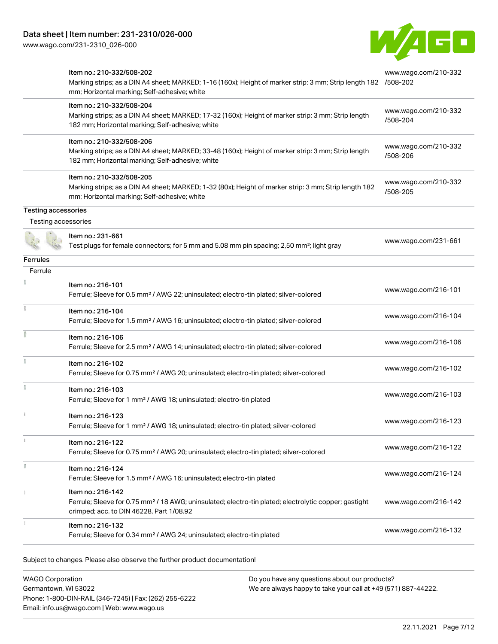[www.wago.com/231-2310\\_026-000](http://www.wago.com/231-2310_026-000)



|                            | Item no.: 210-332/508-202<br>Marking strips; as a DIN A4 sheet; MARKED; 1-16 (160x); Height of marker strip: 3 mm; Strip length 182 /508-202<br>mm; Horizontal marking; Self-adhesive; white | www.wago.com/210-332             |
|----------------------------|----------------------------------------------------------------------------------------------------------------------------------------------------------------------------------------------|----------------------------------|
|                            | Item no.: 210-332/508-204<br>Marking strips; as a DIN A4 sheet; MARKED; 17-32 (160x); Height of marker strip: 3 mm; Strip length<br>182 mm; Horizontal marking; Self-adhesive; white         | www.wago.com/210-332<br>/508-204 |
|                            | Item no.: 210-332/508-206<br>Marking strips; as a DIN A4 sheet; MARKED; 33-48 (160x); Height of marker strip: 3 mm; Strip length<br>182 mm; Horizontal marking; Self-adhesive; white         | www.wago.com/210-332<br>/508-206 |
|                            | Item no.: 210-332/508-205<br>Marking strips; as a DIN A4 sheet; MARKED; 1-32 (80x); Height of marker strip: 3 mm; Strip length 182<br>mm; Horizontal marking; Self-adhesive; white           | www.wago.com/210-332<br>/508-205 |
| <b>Testing accessories</b> |                                                                                                                                                                                              |                                  |
| Testing accessories        |                                                                                                                                                                                              |                                  |
|                            | Item no.: 231-661<br>Test plugs for female connectors; for 5 mm and 5.08 mm pin spacing; 2,50 mm <sup>2</sup> ; light gray                                                                   | www.wago.com/231-661             |
| <b>Ferrules</b>            |                                                                                                                                                                                              |                                  |
| Ferrule                    |                                                                                                                                                                                              |                                  |
|                            | Item no.: 216-101<br>Ferrule; Sleeve for 0.5 mm <sup>2</sup> / AWG 22; uninsulated; electro-tin plated; silver-colored                                                                       | www.wago.com/216-101             |
|                            | Item no.: 216-104<br>Ferrule; Sleeve for 1.5 mm <sup>2</sup> / AWG 16; uninsulated; electro-tin plated; silver-colored                                                                       | www.wago.com/216-104             |
|                            | Item no.: 216-106<br>Ferrule; Sleeve for 2.5 mm <sup>2</sup> / AWG 14; uninsulated; electro-tin plated; silver-colored                                                                       | www.wago.com/216-106             |
|                            | Item no.: 216-102<br>Ferrule; Sleeve for 0.75 mm <sup>2</sup> / AWG 20; uninsulated; electro-tin plated; silver-colored                                                                      | www.wago.com/216-102             |
|                            | Item no.: 216-103<br>Ferrule; Sleeve for 1 mm <sup>2</sup> / AWG 18; uninsulated; electro-tin plated                                                                                         | www.wago.com/216-103             |
|                            | Item no.: 216-123<br>Ferrule; Sleeve for 1 mm <sup>2</sup> / AWG 18; uninsulated; electro-tin plated; silver-colored                                                                         | www.wago.com/216-123             |
|                            | Item no.: 216-122<br>Ferrule; Sleeve for 0.75 mm <sup>2</sup> / AWG 20; uninsulated; electro-tin plated; silver-colored                                                                      | www.wago.com/216-122             |
|                            | Item no.: 216-124<br>Ferrule; Sleeve for 1.5 mm <sup>2</sup> / AWG 16; uninsulated; electro-tin plated                                                                                       | www.wago.com/216-124             |
|                            | Item no.: 216-142<br>Ferrule; Sleeve for 0.75 mm <sup>2</sup> / 18 AWG; uninsulated; electro-tin plated; electrolytic copper; gastight<br>crimped; acc. to DIN 46228, Part 1/08.92           | www.wago.com/216-142             |
|                            | Item no.: 216-132<br>Ferrule; Sleeve for 0.34 mm <sup>2</sup> / AWG 24; uninsulated; electro-tin plated                                                                                      | www.wago.com/216-132             |

Subject to changes. Please also observe the further product documentation!

WAGO Corporation Germantown, WI 53022 Phone: 1-800-DIN-RAIL (346-7245) | Fax: (262) 255-6222 Email: info.us@wago.com | Web: www.wago.us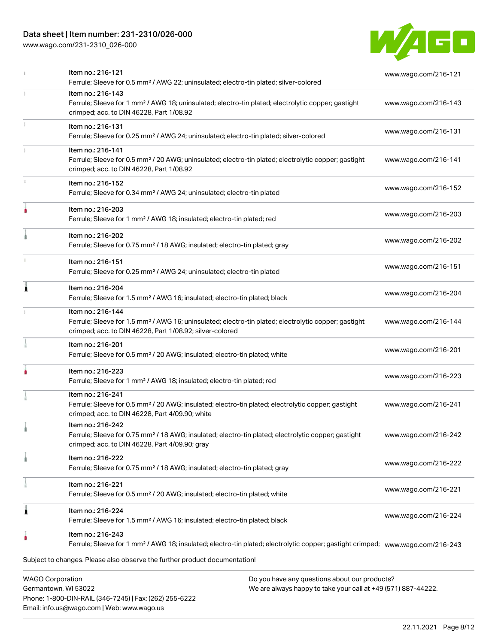### Data sheet | Item number: 231-2310/026-000

[www.wago.com/231-2310\\_026-000](http://www.wago.com/231-2310_026-000)



| Item no.: 216-121<br>Ferrule; Sleeve for 0.5 mm <sup>2</sup> / AWG 22; uninsulated; electro-tin plated; silver-colored                                                                            | www.wago.com/216-121 |
|---------------------------------------------------------------------------------------------------------------------------------------------------------------------------------------------------|----------------------|
| Item no.: 216-143<br>Ferrule; Sleeve for 1 mm <sup>2</sup> / AWG 18; uninsulated; electro-tin plated; electrolytic copper; gastight<br>crimped; acc. to DIN 46228, Part 1/08.92                   | www.wago.com/216-143 |
| Item no.: 216-131<br>Ferrule; Sleeve for 0.25 mm <sup>2</sup> / AWG 24; uninsulated; electro-tin plated; silver-colored                                                                           | www.wago.com/216-131 |
| Item no.: 216-141<br>Ferrule; Sleeve for 0.5 mm <sup>2</sup> / 20 AWG; uninsulated; electro-tin plated; electrolytic copper; gastight<br>crimped; acc. to DIN 46228, Part 1/08.92                 | www.wago.com/216-141 |
| Item no.: 216-152<br>Ferrule; Sleeve for 0.34 mm <sup>2</sup> / AWG 24; uninsulated; electro-tin plated                                                                                           | www.wago.com/216-152 |
| Item no.: 216-203<br>Ferrule; Sleeve for 1 mm <sup>2</sup> / AWG 18; insulated; electro-tin plated; red                                                                                           | www.wago.com/216-203 |
| Item no.: 216-202<br>Ferrule; Sleeve for 0.75 mm <sup>2</sup> / 18 AWG; insulated; electro-tin plated; gray                                                                                       | www.wago.com/216-202 |
| Item no.: 216-151<br>Ferrule; Sleeve for 0.25 mm <sup>2</sup> / AWG 24; uninsulated; electro-tin plated                                                                                           | www.wago.com/216-151 |
| Item no.: 216-204<br>Ferrule; Sleeve for 1.5 mm <sup>2</sup> / AWG 16; insulated; electro-tin plated; black                                                                                       | www.wago.com/216-204 |
| Item no.: 216-144<br>Ferrule; Sleeve for 1.5 mm <sup>2</sup> / AWG 16; uninsulated; electro-tin plated; electrolytic copper; gastight<br>crimped; acc. to DIN 46228, Part 1/08.92; silver-colored | www.wago.com/216-144 |
| Item no.: 216-201<br>Ferrule; Sleeve for 0.5 mm <sup>2</sup> / 20 AWG; insulated; electro-tin plated; white                                                                                       | www.wago.com/216-201 |
| Item no.: 216-223<br>Ferrule; Sleeve for 1 mm <sup>2</sup> / AWG 18; insulated; electro-tin plated; red                                                                                           | www.wago.com/216-223 |
| Item no.: 216-241<br>Ferrule; Sleeve for 0.5 mm <sup>2</sup> / 20 AWG; insulated; electro-tin plated; electrolytic copper; gastight<br>crimped; acc. to DIN 46228, Part 4/09.90; white            | www.wago.com/216-241 |
| Item no.: 216-242<br>Ferrule; Sleeve for 0.75 mm <sup>2</sup> / 18 AWG; insulated; electro-tin plated; electrolytic copper; gastight<br>crimped; acc. to DIN 46228, Part 4/09.90; gray            | www.wago.com/216-242 |
| Item no.: 216-222<br>Ferrule; Sleeve for 0.75 mm <sup>2</sup> / 18 AWG; insulated; electro-tin plated; gray                                                                                       | www.wago.com/216-222 |
| Item no.: 216-221<br>Ferrule; Sleeve for 0.5 mm <sup>2</sup> / 20 AWG; insulated; electro-tin plated; white                                                                                       | www.wago.com/216-221 |
| Item no.: 216-224<br>Ferrule; Sleeve for 1.5 mm <sup>2</sup> / AWG 16; insulated; electro-tin plated; black                                                                                       | www.wago.com/216-224 |
| Item no.: 216-243<br>Ferrule; Sleeve for 1 mm <sup>2</sup> / AWG 18; insulated; electro-tin plated; electrolytic copper; gastight crimped; www.waqo.com/216-243                                   |                      |
| Subject to changes. Please also observe the further product documentation!                                                                                                                        |                      |
| <b>WAGO Corporation</b><br>Do you have any questions about our products?                                                                                                                          |                      |

Germantown, WI 53022 Phone: 1-800-DIN-RAIL (346-7245) | Fax: (262) 255-6222 Email: info.us@wago.com | Web: www.wago.us

We are always happy to take your call at +49 (571) 887-44222.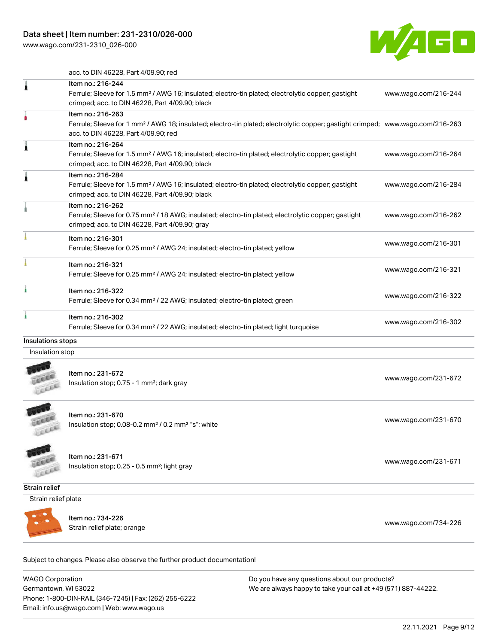[www.wago.com/231-2310\\_026-000](http://www.wago.com/231-2310_026-000)



acc. to DIN 46228, Part 4/09.90; red

|                   | Item no.: 216-244                                                                                                                          |                      |
|-------------------|--------------------------------------------------------------------------------------------------------------------------------------------|----------------------|
|                   | Ferrule; Sleeve for 1.5 mm <sup>2</sup> / AWG 16; insulated; electro-tin plated; electrolytic copper; gastight                             | www.wago.com/216-244 |
|                   | crimped; acc. to DIN 46228, Part 4/09.90; black                                                                                            |                      |
|                   | Item no.: 216-263                                                                                                                          |                      |
|                   | Ferrule; Sleeve for 1 mm <sup>2</sup> / AWG 18; insulated; electro-tin plated; electrolytic copper; gastight crimped; www.wago.com/216-263 |                      |
|                   | acc. to DIN 46228, Part 4/09.90; red                                                                                                       |                      |
|                   | Item no.: 216-264                                                                                                                          |                      |
|                   | Ferrule; Sleeve for 1.5 mm <sup>2</sup> / AWG 16; insulated; electro-tin plated; electrolytic copper; gastight                             | www.wago.com/216-264 |
|                   | crimped; acc. to DIN 46228, Part 4/09.90; black                                                                                            |                      |
|                   | Item no.: 216-284                                                                                                                          |                      |
|                   | Ferrule; Sleeve for 1.5 mm <sup>2</sup> / AWG 16; insulated; electro-tin plated; electrolytic copper; gastight                             | www.wago.com/216-284 |
|                   | crimped; acc. to DIN 46228, Part 4/09.90; black                                                                                            |                      |
|                   | Item no.: 216-262                                                                                                                          |                      |
|                   | Ferrule; Sleeve for 0.75 mm <sup>2</sup> / 18 AWG; insulated; electro-tin plated; electrolytic copper; gastight                            | www.wago.com/216-262 |
|                   | crimped; acc. to DIN 46228, Part 4/09.90; gray                                                                                             |                      |
|                   | Item no.: 216-301                                                                                                                          |                      |
|                   | Ferrule; Sleeve for 0.25 mm <sup>2</sup> / AWG 24; insulated; electro-tin plated; yellow                                                   | www.wago.com/216-301 |
|                   | Item no.: 216-321                                                                                                                          | www.wago.com/216-321 |
|                   | Ferrule; Sleeve for 0.25 mm <sup>2</sup> / AWG 24; insulated; electro-tin plated; yellow                                                   |                      |
|                   | Item no.: 216-322                                                                                                                          |                      |
|                   | Ferrule; Sleeve for 0.34 mm <sup>2</sup> / 22 AWG; insulated; electro-tin plated; green                                                    | www.wago.com/216-322 |
|                   | Item no.: 216-302                                                                                                                          |                      |
|                   | Ferrule; Sleeve for 0.34 mm <sup>2</sup> / 22 AWG; insulated; electro-tin plated; light turquoise                                          | www.wago.com/216-302 |
| Insulations stops |                                                                                                                                            |                      |
| Insulation stop   |                                                                                                                                            |                      |
|                   |                                                                                                                                            |                      |
|                   | Item no.: 231-672                                                                                                                          | www.wago.com/231-672 |
|                   | Insulation stop; 0.75 - 1 mm <sup>2</sup> ; dark gray                                                                                      |                      |
|                   |                                                                                                                                            |                      |

LEEE

Item no.: 231-670 Insulation stop; 0.08-0.2 mm² / 0.2 mm² "s"; white [www.wago.com/231-670](http://www.wago.com/231-670) www.wago.com/231-670

**CENT** Lice

Item no.: 231-671 Item 110... 251-071<br>Insulation stop; 0.25 - 0.5 mm²; light gray [www.wago.com/231-671](http://www.wago.com/231-671)

Strain relief

Strain relief plate



Item no.: 734-226 Strain relief plate; orange [www.wago.com/734-226](http://www.wago.com/734-226)

Subject to changes. Please also observe the further product documentation! Tools

WAGO Corporation Germantown, WI 53022 Phone: 1-800-DIN-RAIL (346-7245) | Fax: (262) 255-6222 Email: info.us@wago.com | Web: www.wago.us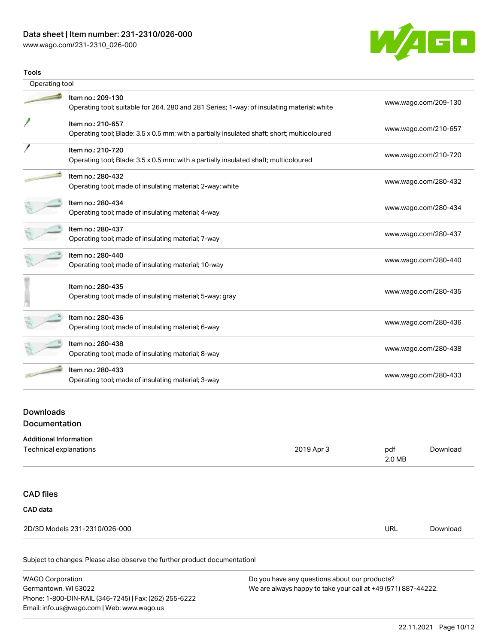### Data sheet | Item number: 231-2310/026-000

[www.wago.com/231-2310\\_026-000](http://www.wago.com/231-2310_026-000)



| <b>Tools</b>   |                                                                                                                  |                      |  |
|----------------|------------------------------------------------------------------------------------------------------------------|----------------------|--|
| Operating tool |                                                                                                                  |                      |  |
|                | Item no.: 209-130<br>Operating tool; suitable for 264, 280 and 281 Series; 1-way; of insulating material; white  | www.wago.com/209-130 |  |
|                | Item no.: 210-657<br>Operating tool; Blade: 3.5 x 0.5 mm; with a partially insulated shaft; short; multicoloured | www.wago.com/210-657 |  |
|                | Item no.: 210-720<br>Operating tool; Blade: 3.5 x 0.5 mm; with a partially insulated shaft; multicoloured        | www.wago.com/210-720 |  |
|                | Item no.: 280-432<br>Operating tool; made of insulating material; 2-way; white                                   | www.wago.com/280-432 |  |
|                | Item no.: 280-434<br>Operating tool; made of insulating material; 4-way                                          | www.wago.com/280-434 |  |
|                | Item no.: 280-437<br>Operating tool; made of insulating material; 7-way                                          | www.wago.com/280-437 |  |
|                | Item no.: 280-440<br>Operating tool; made of insulating material; 10-way                                         | www.wago.com/280-440 |  |
|                | Item no.: 280-435<br>Operating tool; made of insulating material; 5-way; gray                                    | www.wago.com/280-435 |  |
|                | Item no.: 280-436<br>Operating tool; made of insulating material; 6-way                                          | www.wago.com/280-436 |  |
|                | Item no.: 280-438<br>Operating tool; made of insulating material; 8-way                                          | www.wago.com/280-438 |  |
|                | Item no.: 280-433<br>Operating tool; made of insulating material; 3-way                                          | www.wago.com/280-433 |  |

### Downloads **Documentation**

| <b>Additional Information</b> |            |               |          |
|-------------------------------|------------|---------------|----------|
| Technical explanations        | 2019 Apr 3 | pdf<br>2.0 MB | Download |
|                               |            |               |          |
| <b>CAD files</b>              |            |               |          |
| CAD data                      |            |               |          |
| 2D/3D Models 231-2310/026-000 |            | URL           | Download |
|                               |            |               |          |

Subject to changes. Please also observe the further product documentation!

| <b>WAGO Corporation</b>                                | Do you have any questions about our products?                 |
|--------------------------------------------------------|---------------------------------------------------------------|
| Germantown, WI 53022                                   | We are always happy to take your call at +49 (571) 887-44222. |
| Phone: 1-800-DIN-RAIL (346-7245)   Fax: (262) 255-6222 |                                                               |
| Email: info.us@wago.com   Web: www.wago.us             |                                                               |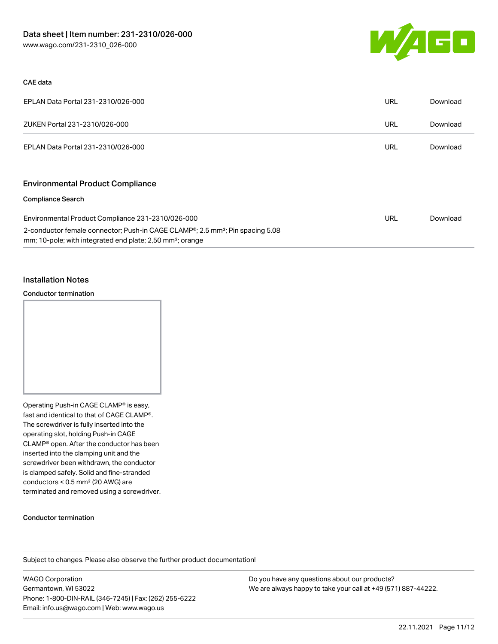

#### CAE data

| EPLAN Data Portal 231-2310/026-000 | URL | Download |
|------------------------------------|-----|----------|
| ZUKEN Portal 231-2310/026-000      | URL | Download |
| EPLAN Data Portal 231-2310/026-000 | URL | Download |

### Environmental Product Compliance

#### Compliance Search

| Environmental Product Compliance 231-2310/026-000                                                      | URL | Download |
|--------------------------------------------------------------------------------------------------------|-----|----------|
| 2-conductor female connector; Push-in CAGE CLAMP <sup>®</sup> ; 2.5 mm <sup>2</sup> ; Pin spacing 5.08 |     |          |
| mm; 10-pole; with integrated end plate; 2,50 mm <sup>2</sup> ; orange                                  |     |          |

#### Installation Notes

#### Conductor termination



Operating Push-in CAGE CLAMP® is easy, fast and identical to that of CAGE CLAMP®. The screwdriver is fully inserted into the operating slot, holding Push-in CAGE CLAMP® open. After the conductor has been inserted into the clamping unit and the screwdriver been withdrawn, the conductor is clamped safely. Solid and fine-stranded conductors < 0.5 mm² (20 AWG) are terminated and removed using a screwdriver.

#### Conductor termination

Subject to changes. Please also observe the further product documentation!

WAGO Corporation Germantown, WI 53022 Phone: 1-800-DIN-RAIL (346-7245) | Fax: (262) 255-6222 Email: info.us@wago.com | Web: www.wago.us